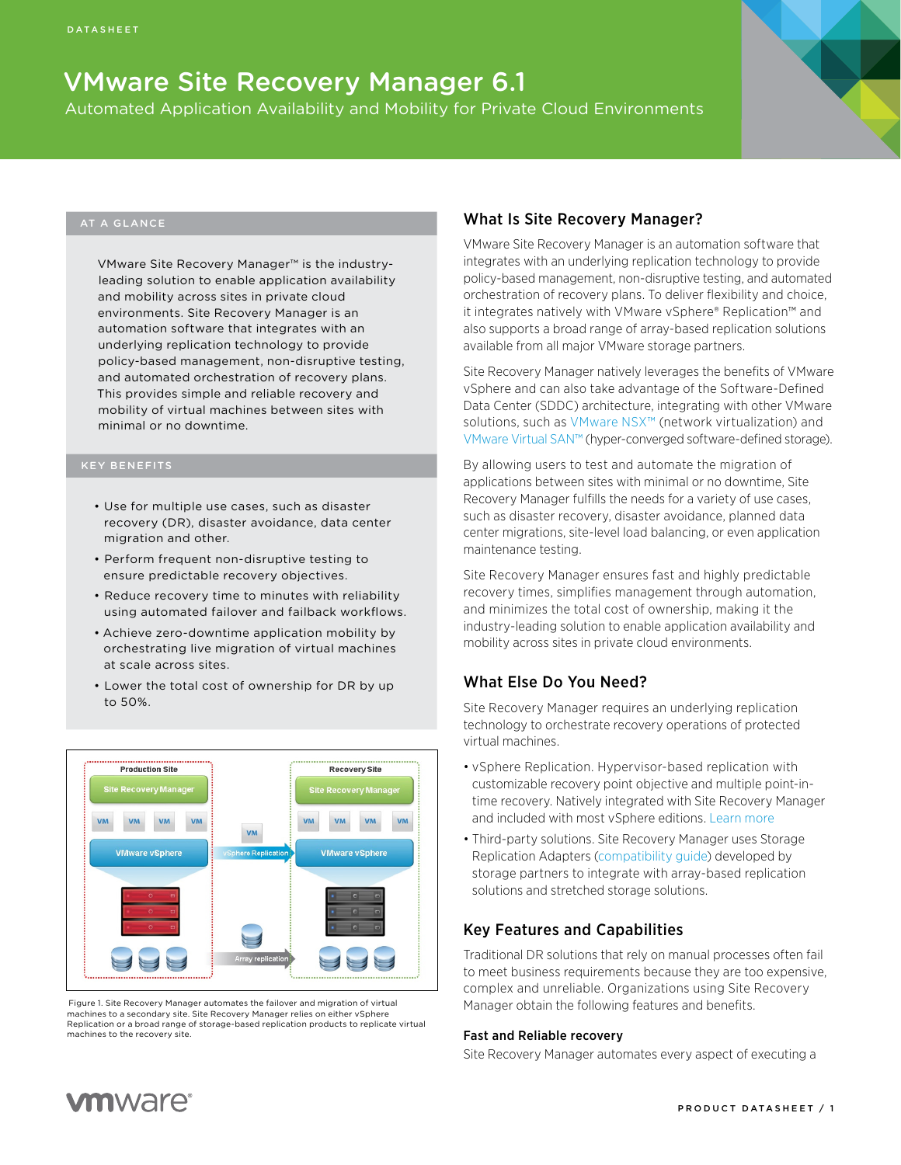# VMware Site Recovery Manager 6.1

Automated Application Availability and Mobility for Private Cloud Environments

#### AT A GLANCE

VMware Site Recovery Manager™ is the industryleading solution to enable application availability and mobility across sites in private cloud environments. Site Recovery Manager is an automation software that integrates with an underlying replication technology to provide policy-based management, non-disruptive testing, and automated orchestration of recovery plans. This provides simple and reliable recovery and mobility of virtual machines between sites with minimal or no downtime.

#### KEY BENEFITS

- Use for multiple use cases, such as disaster recovery (DR), disaster avoidance, data center migration and other.
- Perform frequent non-disruptive testing to ensure predictable recovery objectives.
- Reduce recovery time to minutes with reliability using automated failover and failback workflows.
- Achieve zero-downtime application mobility by orchestrating live migration of virtual machines at scale across sites.
- Lower the total cost of ownership for DR by up to 50%.



 Figure 1. Site Recovery Manager automates the failover and migration of virtual machines to a secondary site. Site Recovery Manager relies on either vSphere Replication or a broad range of storage-based replication products to replicate virtual machines to the recovery site.

# What Is Site Recovery Manager?

VMware Site Recovery Manager is an automation software that integrates with an underlying replication technology to provide policy-based management, non-disruptive testing, and automated orchestration of recovery plans. To deliver flexibility and choice, it integrates natively with VMware vSphere® Replication™ and also supports a broad range of array-based replication solutions available from all major VMware storage partners.

Site Recovery Manager natively leverages the benefits of VMware vSphere and can also take advantage of the Software-Defined Data Center (SDDC) architecture, integrating with other VMware solutions, such as [VMware NSX™](http://www.vmware.com/products/nsx/) (network virtualization) and [VMware Virtual SAN™](http://www.vmware.com/products/virtual-san/) (hyper-converged software-defined storage).

By allowing users to test and automate the migration of applications between sites with minimal or no downtime, Site Recovery Manager fulfills the needs for a variety of use cases, such as disaster recovery, disaster avoidance, planned data center migrations, site-level load balancing, or even application maintenance testing.

Site Recovery Manager ensures fast and highly predictable recovery times, simplifies management through automation, and minimizes the total cost of ownership, making it the industry-leading solution to enable application availability and mobility across sites in private cloud environments.

# What Else Do You Need?

Site Recovery Manager requires an underlying replication technology to orchestrate recovery operations of protected virtual machines.

- vSphere Replication. Hypervisor-based replication with customizable recovery point objective and multiple point-intime recovery. Natively integrated with Site Recovery Manager and included with most vSphere editions. [Learn more](http://www.vmware.com/products/vsphere/features/replication.html)
- Third-party solutions. Site Recovery Manager uses Storage Replication Adapters [\(compatibility guide\)](http://www.vmware.com/resources/compatibility/search.php?deviceCategory=sra) developed by storage partners to integrate with array-based replication solutions and stretched storage solutions.

# Key Features and Capabilities

Traditional DR solutions that rely on manual processes often fail to meet business requirements because they are too expensive, complex and unreliable. Organizations using Site Recovery Manager obtain the following features and benefits.

#### Fast and Reliable recovery

Site Recovery Manager automates every aspect of executing a